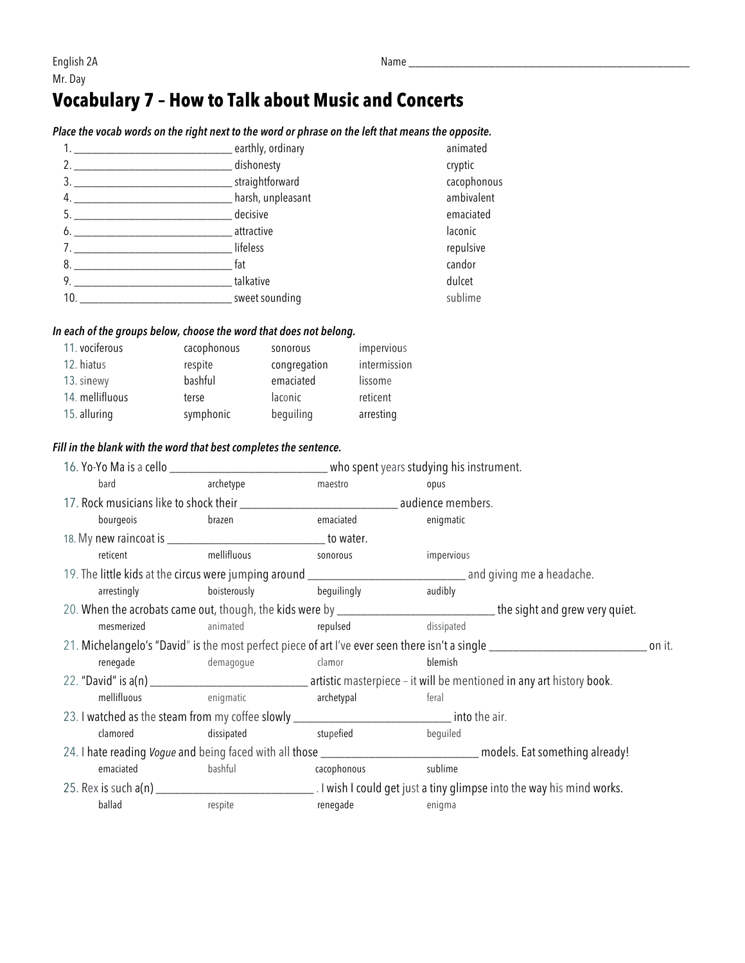## **Vocabulary 7 – How to Talk about Music and Concerts**

|     | Place the vocab words on the right hext to the word or phrase on the left that means the opposite. |             |
|-----|----------------------------------------------------------------------------------------------------|-------------|
|     | _________ earthly, ordinary                                                                        | animated    |
| 2.  | _dishonesty                                                                                        | cryptic     |
| 3.  | straightforward                                                                                    | cacophonous |
| 4.  | harsh, unpleasant                                                                                  | ambivalent  |
| 5.  | decisive                                                                                           | emaciated   |
| 6.  | attractive                                                                                         | laconic     |
|     | lifeless                                                                                           | repulsive   |
| 8.  | fat                                                                                                | candor      |
| 9.  | talkative                                                                                          | dulcet      |
| 10. | sweet sounding                                                                                     | sublime     |

### *Place the vocab words on the right next to the word or phrase on the left that means the opposite.*

#### *In each of the groups below, choose the word that does not belong.*

| 11. vociferous  | cacophonous | sonorous     | impervious   |
|-----------------|-------------|--------------|--------------|
| 12. hiatus      | respite     | congregation | intermission |
| 13. sinewy      | bashful     | emaciated    | lissome      |
| 14. mellifluous | terse       | laconic      | reticent     |
| 15. alluring    | symphonic   | beguiling    | arresting    |

#### *Fill in the blank with the word that best completes the sentence.*

| bard                                                                                                                                      | archetype                | maestro     | opus       |  |  |
|-------------------------------------------------------------------------------------------------------------------------------------------|--------------------------|-------------|------------|--|--|
|                                                                                                                                           |                          |             |            |  |  |
| bourgeois                                                                                                                                 | brazen                   | emaciated   | enigmatic  |  |  |
|                                                                                                                                           |                          |             |            |  |  |
| reticent                                                                                                                                  | mellifluous              | sonorous    | impervious |  |  |
|                                                                                                                                           |                          |             |            |  |  |
| arrestingly                                                                                                                               | boisterously beguilingly |             | audibly    |  |  |
| 20. When the acrobats came out, though, the kids were by _______________________________the sight and grew very quiet.                    |                          |             |            |  |  |
| mesmerized                                                                                                                                | animated                 | repulsed    | dissipated |  |  |
| 21. Michelangelo's "David" is the most perfect piece of art I've ever seen there isn't a single __________________________________ on it. |                          |             |            |  |  |
| renegade                                                                                                                                  | demagogue                | clamor      | blemish    |  |  |
|                                                                                                                                           |                          |             |            |  |  |
| mellifluous enigmatic                                                                                                                     |                          | archetypal  | feral      |  |  |
| 23. I watched as the steam from my coffee slowly ________________________________ into the air.                                           |                          |             |            |  |  |
| clamored                                                                                                                                  | stupefied<br>dissipated  |             | beguiled   |  |  |
|                                                                                                                                           |                          |             |            |  |  |
| emaciated                                                                                                                                 | bashful                  | cacophonous | sublime    |  |  |
|                                                                                                                                           |                          |             |            |  |  |
|                                                                                                                                           |                          |             |            |  |  |